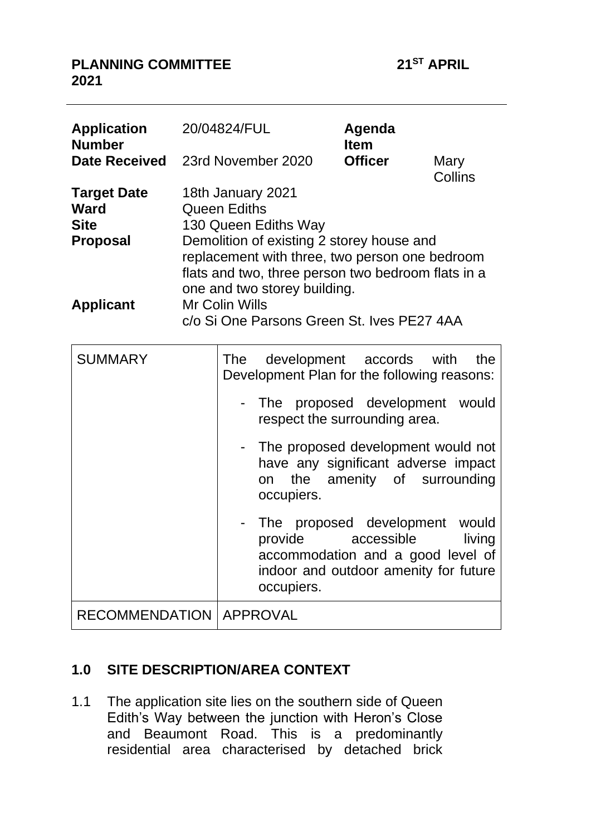## **PLANNING COMMITTEE 21ST APRIL 2021**

| <b>Application</b><br><b>Number</b>                                 |                                                                                                                                                                                                                                                       | 20/04824/FUL                                                        |                                                                                                                                 | Agenda<br><b>Item</b> |                 |  |
|---------------------------------------------------------------------|-------------------------------------------------------------------------------------------------------------------------------------------------------------------------------------------------------------------------------------------------------|---------------------------------------------------------------------|---------------------------------------------------------------------------------------------------------------------------------|-----------------------|-----------------|--|
| <b>Date Received</b>                                                |                                                                                                                                                                                                                                                       |                                                                     | 23rd November 2020                                                                                                              | <b>Officer</b>        | Mary<br>Collins |  |
| <b>Target Date</b><br><b>Ward</b><br><b>Site</b><br><b>Proposal</b> | 18th January 2021<br><b>Queen Ediths</b><br>130 Queen Ediths Way<br>Demolition of existing 2 storey house and<br>replacement with three, two person one bedroom<br>flats and two, three person two bedroom flats in a<br>one and two storey building. |                                                                     |                                                                                                                                 |                       |                 |  |
| <b>Applicant</b>                                                    |                                                                                                                                                                                                                                                       | <b>Mr Colin Wills</b><br>c/o Si One Parsons Green St. Ives PE27 4AA |                                                                                                                                 |                       |                 |  |
| <b>SUMMARY</b>                                                      |                                                                                                                                                                                                                                                       | The                                                                 | development<br>Development Plan for the following reasons:                                                                      | accords               | with<br>the     |  |
|                                                                     |                                                                                                                                                                                                                                                       |                                                                     | The proposed development<br>respect the surrounding area.                                                                       |                       | would           |  |
|                                                                     |                                                                                                                                                                                                                                                       |                                                                     | The proposed development would not<br>have any significant adverse impact<br>the<br>on<br>occupiers.                            | amenity of            | surrounding     |  |
|                                                                     |                                                                                                                                                                                                                                                       |                                                                     | The proposed development<br>provide<br>accommodation and a good level of<br>indoor and outdoor amenity for future<br>occupiers. | accessible            | would<br>living |  |
| <b>RECOMMENDATION</b>                                               |                                                                                                                                                                                                                                                       |                                                                     | <b>APPROVAL</b>                                                                                                                 |                       |                 |  |

## **1.0 SITE DESCRIPTION/AREA CONTEXT**

1.1 The application site lies on the southern side of Queen Edith's Way between the junction with Heron's Close and Beaumont Road. This is a predominantly residential area characterised by detached brick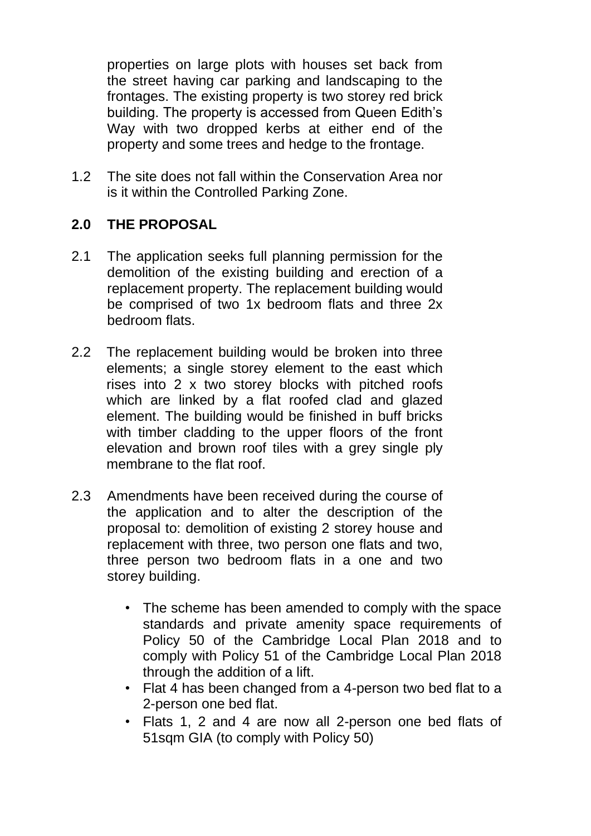properties on large plots with houses set back from the street having car parking and landscaping to the frontages. The existing property is two storey red brick building. The property is accessed from Queen Edith's Way with two dropped kerbs at either end of the property and some trees and hedge to the frontage.

1.2 The site does not fall within the Conservation Area nor is it within the Controlled Parking Zone.

## **2.0 THE PROPOSAL**

- 2.1 The application seeks full planning permission for the demolition of the existing building and erection of a replacement property. The replacement building would be comprised of two 1x bedroom flats and three 2x bedroom flats.
- 2.2 The replacement building would be broken into three elements; a single storey element to the east which rises into 2 x two storey blocks with pitched roofs which are linked by a flat roofed clad and glazed element. The building would be finished in buff bricks with timber cladding to the upper floors of the front elevation and brown roof tiles with a grey single ply membrane to the flat roof.
- 2.3 Amendments have been received during the course of the application and to alter the description of the proposal to: demolition of existing 2 storey house and replacement with three, two person one flats and two, three person two bedroom flats in a one and two storey building.
	- The scheme has been amended to comply with the space standards and private amenity space requirements of Policy 50 of the Cambridge Local Plan 2018 and to comply with Policy 51 of the Cambridge Local Plan 2018 through the addition of a lift.
	- Flat 4 has been changed from a 4-person two bed flat to a 2-person one bed flat.
	- Flats 1, 2 and 4 are now all 2-person one bed flats of 51sqm GIA (to comply with Policy 50)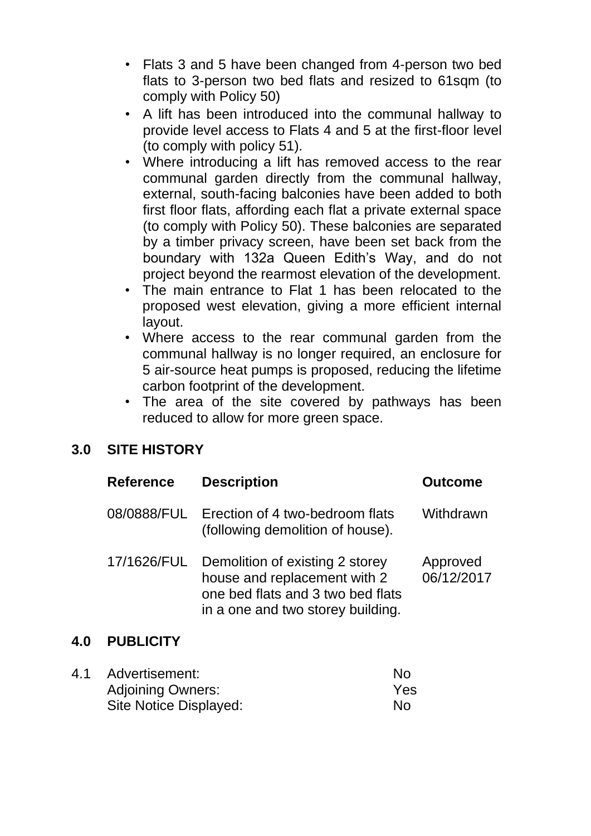- Flats 3 and 5 have been changed from 4-person two bed flats to 3-person two bed flats and resized to 61sqm (to comply with Policy 50)
- A lift has been introduced into the communal hallway to provide level access to Flats 4 and 5 at the first-floor level (to comply with policy 51).
- Where introducing a lift has removed access to the rear communal garden directly from the communal hallway, external, south-facing balconies have been added to both first floor flats, affording each flat a private external space (to comply with Policy 50). These balconies are separated by a timber privacy screen, have been set back from the boundary with 132a Queen Edith's Way, and do not project beyond the rearmost elevation of the development.
- The main entrance to Flat 1 has been relocated to the proposed west elevation, giving a more efficient internal layout.
- Where access to the rear communal garden from the communal hallway is no longer required, an enclosure for 5 air-source heat pumps is proposed, reducing the lifetime carbon footprint of the development.
- The area of the site covered by pathways has been reduced to allow for more green space.

# **3.0 SITE HISTORY**

| <b>Reference</b> | <b>Description</b>                                                                                                                        | <b>Outcome</b>         |
|------------------|-------------------------------------------------------------------------------------------------------------------------------------------|------------------------|
| 08/0888/FUL      | Erection of 4 two-bedroom flats<br>(following demolition of house).                                                                       | Withdrawn              |
| 17/1626/FUL      | Demolition of existing 2 storey<br>house and replacement with 2<br>one bed flats and 3 two bed flats<br>in a one and two storey building. | Approved<br>06/12/2017 |

## **4.0 PUBLICITY**

| 4.1 | Advertisement:           | No  |
|-----|--------------------------|-----|
|     | <b>Adjoining Owners:</b> | Yes |
|     | Site Notice Displayed:   | No  |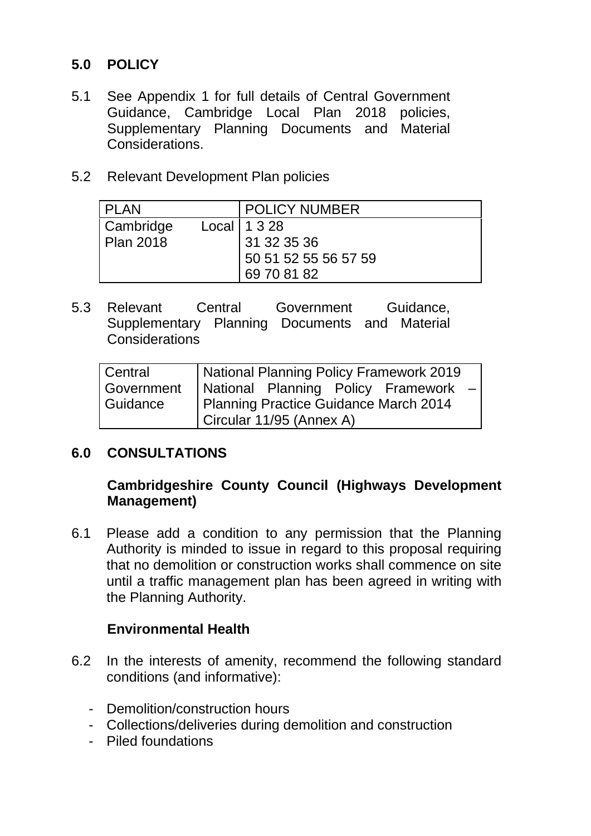## **5.0 POLICY**

- 5.1 See Appendix 1 for full details of Central Government Guidance, Cambridge Local Plan 2018 policies, Supplementary Planning Documents and Material Considerations.
- 5.2 Relevant Development Plan policies

| <b>PLAN</b>      | <b>POLICY NUMBER</b> |
|------------------|----------------------|
| Cambridge        | Local   $1328$       |
| <b>Plan 2018</b> | 31 32 35 36          |
|                  | 50 51 52 55 56 57 59 |
|                  | 69 70 81 82          |

5.3 Relevant Central Government Guidance, Supplementary Planning Documents and Material **Considerations** 

| Central    | National Planning Policy Framework 2019 |  |  |  |
|------------|-----------------------------------------|--|--|--|
| Government | National Planning Policy Framework -    |  |  |  |
| Guidance   | Planning Practice Guidance March 2014   |  |  |  |
|            | Circular 11/95 (Annex A)                |  |  |  |

## **6.0 CONSULTATIONS**

## **Cambridgeshire County Council (Highways Development Management)**

6.1 Please add a condition to any permission that the Planning Authority is minded to issue in regard to this proposal requiring that no demolition or construction works shall commence on site until a traffic management plan has been agreed in writing with the Planning Authority.

## **Environmental Health**

- 6.2 In the interests of amenity, recommend the following standard conditions (and informative):
	- Demolition/construction hours
	- Collections/deliveries during demolition and construction
	- Piled foundations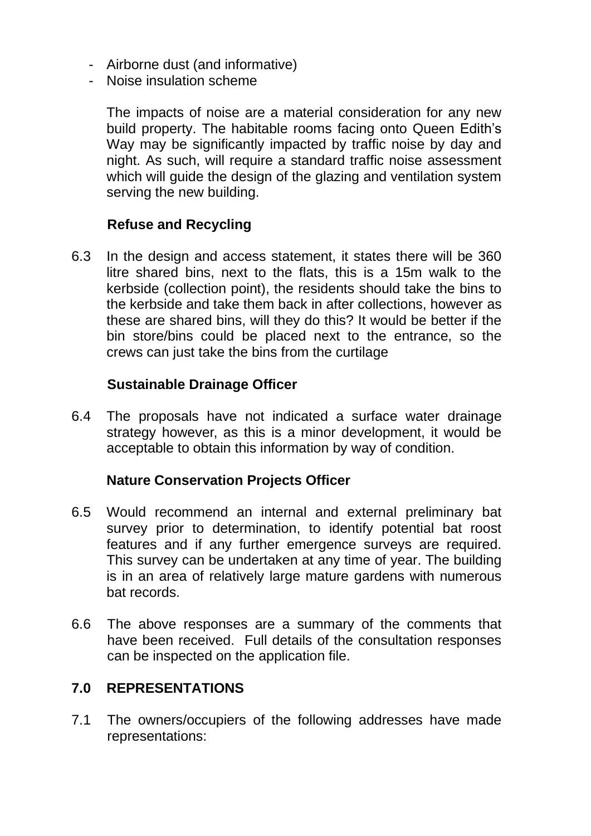- Airborne dust (and informative)
- Noise insulation scheme

The impacts of noise are a material consideration for any new build property. The habitable rooms facing onto Queen Edith's Way may be significantly impacted by traffic noise by day and night. As such, will require a standard traffic noise assessment which will guide the design of the glazing and ventilation system serving the new building.

## **Refuse and Recycling**

6.3 In the design and access statement, it states there will be 360 litre shared bins, next to the flats, this is a 15m walk to the kerbside (collection point), the residents should take the bins to the kerbside and take them back in after collections, however as these are shared bins, will they do this? It would be better if the bin store/bins could be placed next to the entrance, so the crews can just take the bins from the curtilage

#### **Sustainable Drainage Officer**

6.4 The proposals have not indicated a surface water drainage strategy however, as this is a minor development, it would be acceptable to obtain this information by way of condition.

## **Nature Conservation Projects Officer**

- 6.5 Would recommend an internal and external preliminary bat survey prior to determination, to identify potential bat roost features and if any further emergence surveys are required. This survey can be undertaken at any time of year. The building is in an area of relatively large mature gardens with numerous bat records.
- 6.6 The above responses are a summary of the comments that have been received. Full details of the consultation responses can be inspected on the application file.

#### **7.0 REPRESENTATIONS**

7.1 The owners/occupiers of the following addresses have made representations: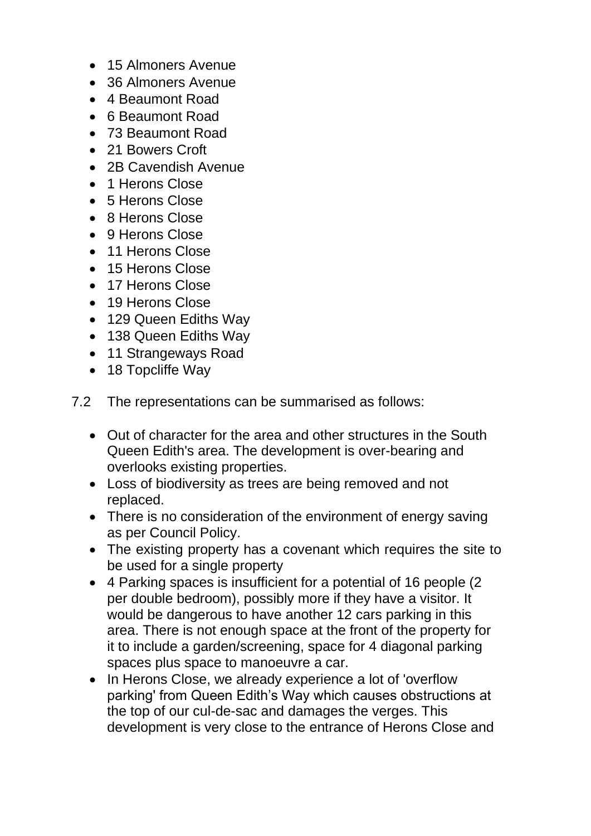- 15 Almoners Avenue
- 36 Almoners Avenue
- 4 Beaumont Road
- 6 Beaumont Road
- 73 Beaumont Road
- 21 Bowers Croft
- 2B Cavendish Avenue
- 1 Herons Close
- 5 Herons Close
- 8 Herons Close
- 9 Herons Close
- 11 Herons Close
- 15 Herons Close
- 17 Herons Close
- 19 Herons Close
- 129 Queen Ediths Way
- 138 Queen Ediths Way
- 11 Strangeways Road
- 18 Topcliffe Wav
- 7.2 The representations can be summarised as follows:
	- Out of character for the area and other structures in the South Queen Edith's area. The development is over-bearing and overlooks existing properties.
	- Loss of biodiversity as trees are being removed and not replaced.
	- There is no consideration of the environment of energy saving as per Council Policy.
	- The existing property has a covenant which requires the site to be used for a single property
	- 4 Parking spaces is insufficient for a potential of 16 people (2 per double bedroom), possibly more if they have a visitor. It would be dangerous to have another 12 cars parking in this area. There is not enough space at the front of the property for it to include a garden/screening, space for 4 diagonal parking spaces plus space to manoeuvre a car.
	- In Herons Close, we already experience a lot of 'overflow parking' from Queen Edith's Way which causes obstructions at the top of our cul-de-sac and damages the verges. This development is very close to the entrance of Herons Close and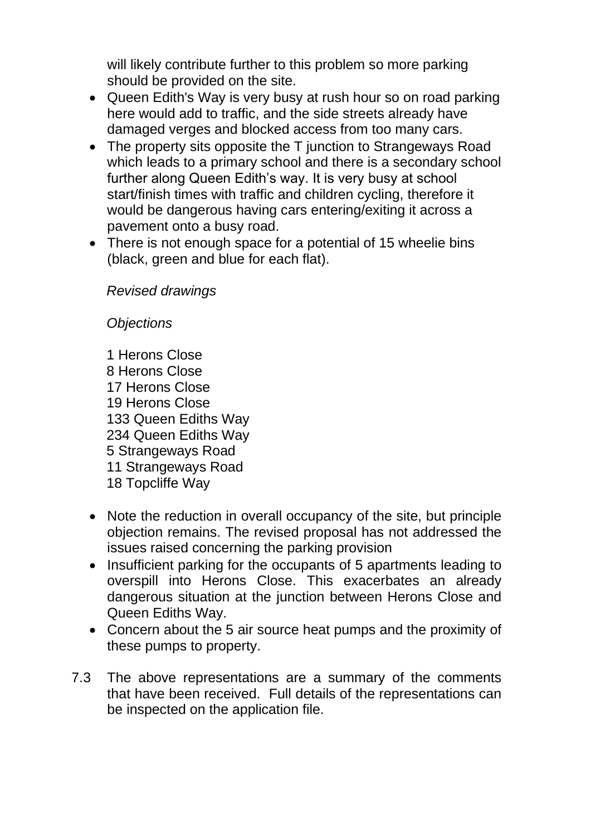will likely contribute further to this problem so more parking should be provided on the site.

- Queen Edith's Way is very busy at rush hour so on road parking here would add to traffic, and the side streets already have damaged verges and blocked access from too many cars.
- The property sits opposite the T junction to Strangeways Road which leads to a primary school and there is a secondary school further along Queen Edith's way. It is very busy at school start/finish times with traffic and children cycling, therefore it would be dangerous having cars entering/exiting it across a pavement onto a busy road.
- There is not enough space for a potential of 15 wheelie bins (black, green and blue for each flat).

*Revised drawings*

*Objections*

- 1 Herons Close 8 Herons Close 17 Herons Close 19 Herons Close 133 Queen Ediths Way 234 Queen Ediths Way 5 Strangeways Road 11 Strangeways Road 18 Topcliffe Way
- Note the reduction in overall occupancy of the site, but principle objection remains. The revised proposal has not addressed the issues raised concerning the parking provision
- Insufficient parking for the occupants of 5 apartments leading to overspill into Herons Close. This exacerbates an already dangerous situation at the junction between Herons Close and Queen Ediths Way.
- Concern about the 5 air source heat pumps and the proximity of these pumps to property.
- 7.3 The above representations are a summary of the comments that have been received. Full details of the representations can be inspected on the application file.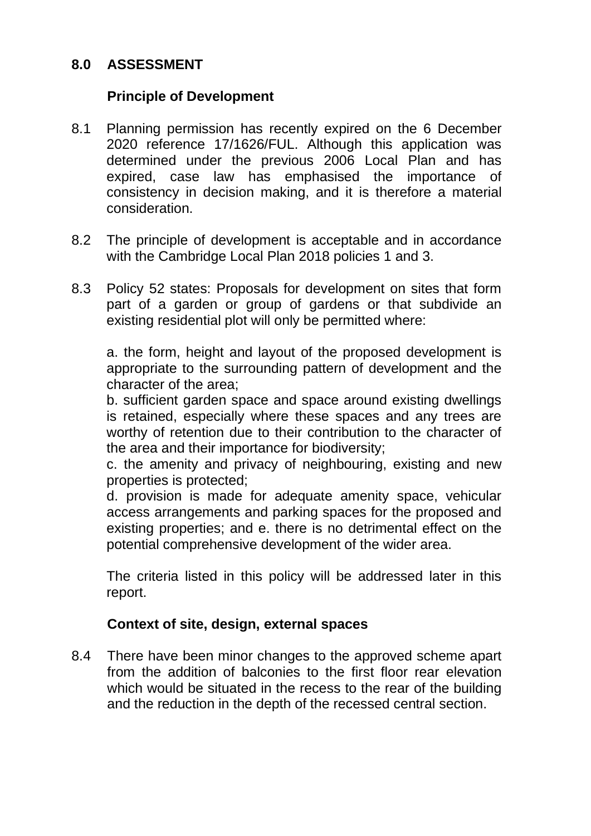## **8.0 ASSESSMENT**

## **Principle of Development**

- 8.1 Planning permission has recently expired on the 6 December 2020 reference 17/1626/FUL. Although this application was determined under the previous 2006 Local Plan and has expired, case law has emphasised the importance of consistency in decision making, and it is therefore a material consideration.
- 8.2 The principle of development is acceptable and in accordance with the Cambridge Local Plan 2018 policies 1 and 3.
- 8.3 Policy 52 states: Proposals for development on sites that form part of a garden or group of gardens or that subdivide an existing residential plot will only be permitted where:

a. the form, height and layout of the proposed development is appropriate to the surrounding pattern of development and the character of the area;

b. sufficient garden space and space around existing dwellings is retained, especially where these spaces and any trees are worthy of retention due to their contribution to the character of the area and their importance for biodiversity;

c. the amenity and privacy of neighbouring, existing and new properties is protected;

d. provision is made for adequate amenity space, vehicular access arrangements and parking spaces for the proposed and existing properties; and e. there is no detrimental effect on the potential comprehensive development of the wider area.

The criteria listed in this policy will be addressed later in this report.

## **Context of site, design, external spaces**

8.4 There have been minor changes to the approved scheme apart from the addition of balconies to the first floor rear elevation which would be situated in the recess to the rear of the building and the reduction in the depth of the recessed central section.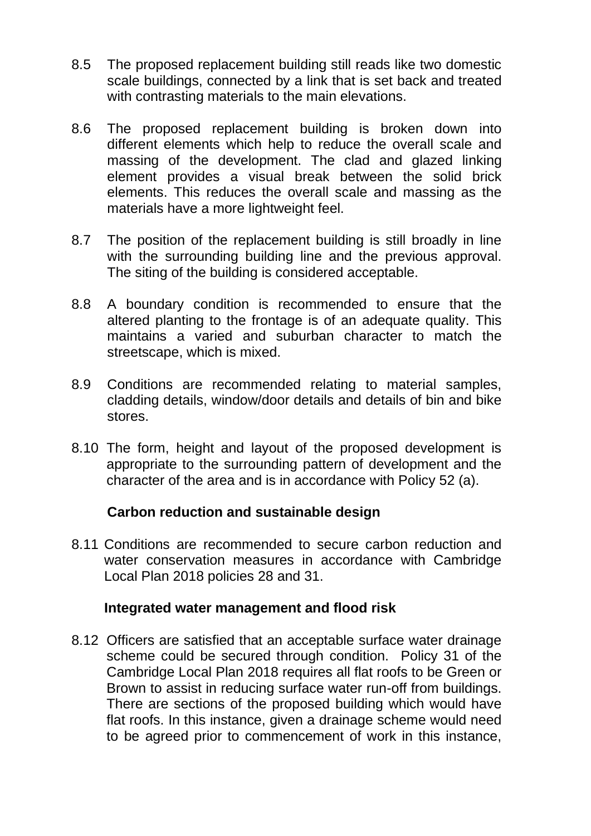- 8.5 The proposed replacement building still reads like two domestic scale buildings, connected by a link that is set back and treated with contrasting materials to the main elevations.
- 8.6 The proposed replacement building is broken down into different elements which help to reduce the overall scale and massing of the development. The clad and glazed linking element provides a visual break between the solid brick elements. This reduces the overall scale and massing as the materials have a more lightweight feel.
- 8.7 The position of the replacement building is still broadly in line with the surrounding building line and the previous approval. The siting of the building is considered acceptable.
- 8.8 A boundary condition is recommended to ensure that the altered planting to the frontage is of an adequate quality. This maintains a varied and suburban character to match the streetscape, which is mixed.
- 8.9 Conditions are recommended relating to material samples, cladding details, window/door details and details of bin and bike stores.
- 8.10 The form, height and layout of the proposed development is appropriate to the surrounding pattern of development and the character of the area and is in accordance with Policy 52 (a).

#### **Carbon reduction and sustainable design**

8.11 Conditions are recommended to secure carbon reduction and water conservation measures in accordance with Cambridge Local Plan 2018 policies 28 and 31.

#### **Integrated water management and flood risk**

8.12 Officers are satisfied that an acceptable surface water drainage scheme could be secured through condition. Policy 31 of the Cambridge Local Plan 2018 requires all flat roofs to be Green or Brown to assist in reducing surface water run-off from buildings. There are sections of the proposed building which would have flat roofs. In this instance, given a drainage scheme would need to be agreed prior to commencement of work in this instance,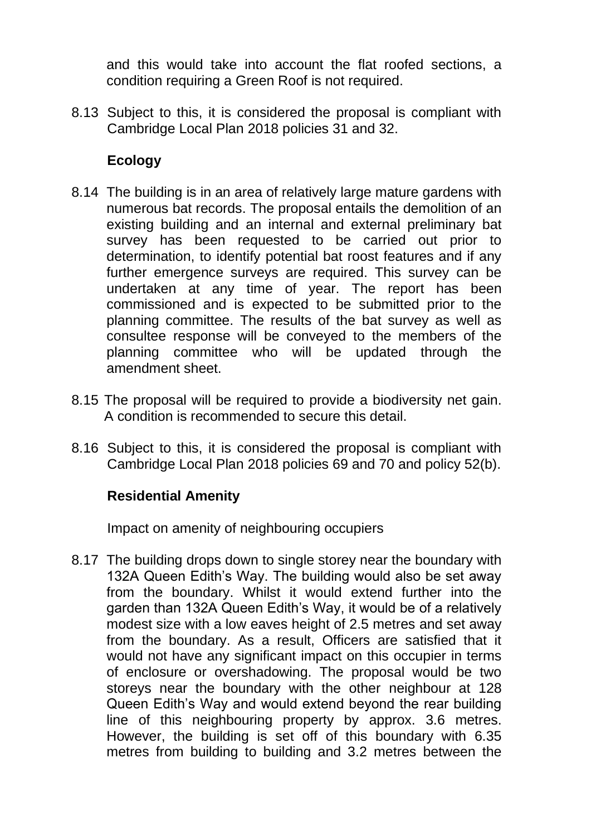and this would take into account the flat roofed sections, a condition requiring a Green Roof is not required.

8.13 Subject to this, it is considered the proposal is compliant with Cambridge Local Plan 2018 policies 31 and 32.

## **Ecology**

- 8.14 The building is in an area of relatively large mature gardens with numerous bat records. The proposal entails the demolition of an existing building and an internal and external preliminary bat survey has been requested to be carried out prior to determination, to identify potential bat roost features and if any further emergence surveys are required. This survey can be undertaken at any time of year. The report has been commissioned and is expected to be submitted prior to the planning committee. The results of the bat survey as well as consultee response will be conveyed to the members of the planning committee who will be updated through the amendment sheet.
- 8.15 The proposal will be required to provide a biodiversity net gain. A condition is recommended to secure this detail.
- 8.16 Subject to this, it is considered the proposal is compliant with Cambridge Local Plan 2018 policies 69 and 70 and policy 52(b).

## **Residential Amenity**

Impact on amenity of neighbouring occupiers

8.17 The building drops down to single storey near the boundary with 132A Queen Edith's Way. The building would also be set away from the boundary. Whilst it would extend further into the garden than 132A Queen Edith's Way, it would be of a relatively modest size with a low eaves height of 2.5 metres and set away from the boundary. As a result, Officers are satisfied that it would not have any significant impact on this occupier in terms of enclosure or overshadowing. The proposal would be two storeys near the boundary with the other neighbour at 128 Queen Edith's Way and would extend beyond the rear building line of this neighbouring property by approx. 3.6 metres. However, the building is set off of this boundary with 6.35 metres from building to building and 3.2 metres between the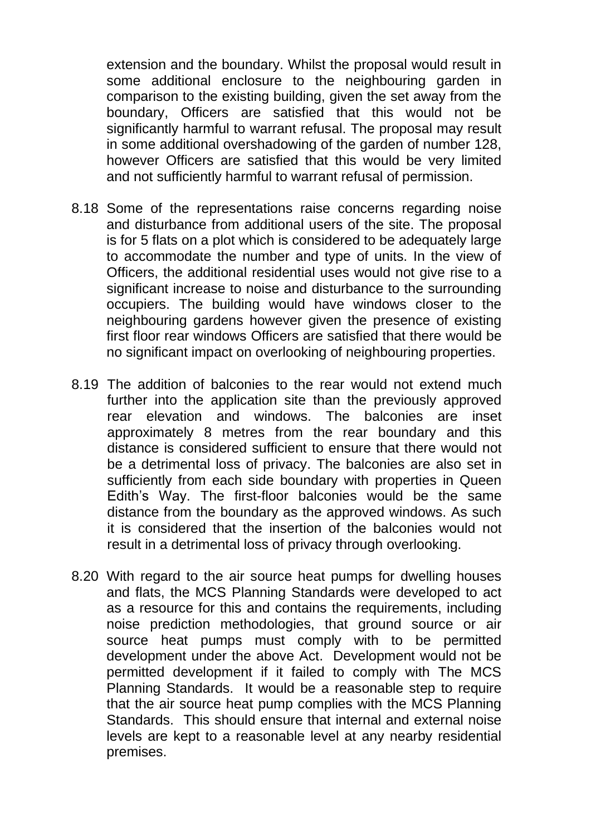extension and the boundary. Whilst the proposal would result in some additional enclosure to the neighbouring garden in comparison to the existing building, given the set away from the boundary, Officers are satisfied that this would not be significantly harmful to warrant refusal. The proposal may result in some additional overshadowing of the garden of number 128, however Officers are satisfied that this would be very limited and not sufficiently harmful to warrant refusal of permission.

- 8.18 Some of the representations raise concerns regarding noise and disturbance from additional users of the site. The proposal is for 5 flats on a plot which is considered to be adequately large to accommodate the number and type of units. In the view of Officers, the additional residential uses would not give rise to a significant increase to noise and disturbance to the surrounding occupiers. The building would have windows closer to the neighbouring gardens however given the presence of existing first floor rear windows Officers are satisfied that there would be no significant impact on overlooking of neighbouring properties.
- 8.19 The addition of balconies to the rear would not extend much further into the application site than the previously approved rear elevation and windows. The balconies are inset approximately 8 metres from the rear boundary and this distance is considered sufficient to ensure that there would not be a detrimental loss of privacy. The balconies are also set in sufficiently from each side boundary with properties in Queen Edith's Way. The first-floor balconies would be the same distance from the boundary as the approved windows. As such it is considered that the insertion of the balconies would not result in a detrimental loss of privacy through overlooking.
- 8.20 With regard to the air source heat pumps for dwelling houses and flats, the MCS Planning Standards were developed to act as a resource for this and contains the requirements, including noise prediction methodologies, that ground source or air source heat pumps must comply with to be permitted development under the above Act. Development would not be permitted development if it failed to comply with The MCS Planning Standards. It would be a reasonable step to require that the air source heat pump complies with the MCS Planning Standards. This should ensure that internal and external noise levels are kept to a reasonable level at any nearby residential premises.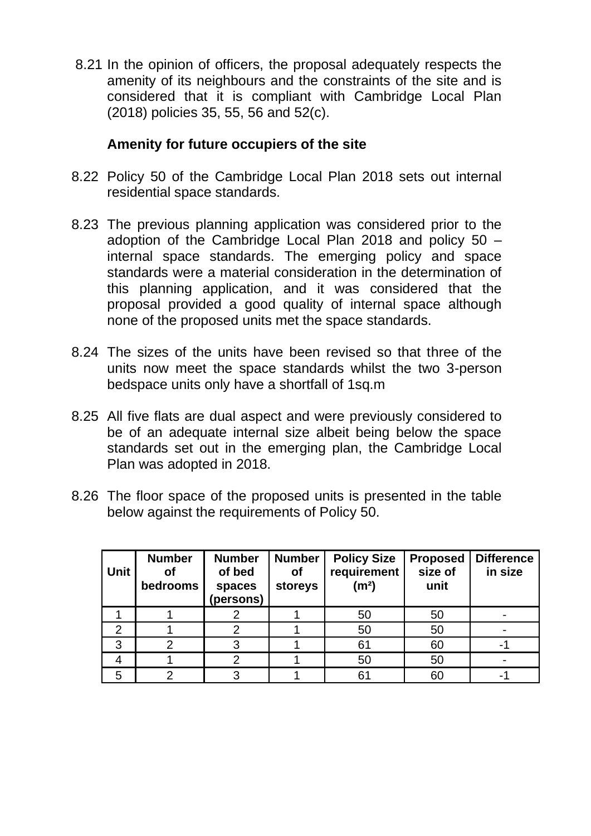8.21 In the opinion of officers, the proposal adequately respects the amenity of its neighbours and the constraints of the site and is considered that it is compliant with Cambridge Local Plan (2018) policies 35, 55, 56 and 52(c).

### **Amenity for future occupiers of the site**

- 8.22 Policy 50 of the Cambridge Local Plan 2018 sets out internal residential space standards.
- 8.23 The previous planning application was considered prior to the adoption of the Cambridge Local Plan 2018 and policy 50 – internal space standards. The emerging policy and space standards were a material consideration in the determination of this planning application, and it was considered that the proposal provided a good quality of internal space although none of the proposed units met the space standards.
- 8.24 The sizes of the units have been revised so that three of the units now meet the space standards whilst the two 3-person bedspace units only have a shortfall of 1sq.m
- 8.25 All five flats are dual aspect and were previously considered to be of an adequate internal size albeit being below the space standards set out in the emerging plan, the Cambridge Local Plan was adopted in 2018.
- 8.26 The floor space of the proposed units is presented in the table below against the requirements of Policy 50.

| <b>Unit</b>   | <b>Number</b><br>Οf<br>bedrooms | <b>Number</b><br>of bed<br>spaces<br>(persons) | <b>Number</b><br><b>of</b><br>storeys | <b>Policy Size</b><br>requirement<br>(m <sup>2</sup> ) | <b>Proposed</b><br>size of<br>unit | <b>Difference</b><br>in size |
|---------------|---------------------------------|------------------------------------------------|---------------------------------------|--------------------------------------------------------|------------------------------------|------------------------------|
|               |                                 |                                                |                                       | 50                                                     | 50                                 |                              |
| $\mathcal{P}$ |                                 |                                                |                                       | 50                                                     | 50                                 |                              |
| 3             | ⌒                               |                                                |                                       | 61                                                     | 60                                 |                              |
|               |                                 |                                                |                                       | 50                                                     | 50                                 |                              |
|               |                                 |                                                |                                       | 61                                                     | 60                                 |                              |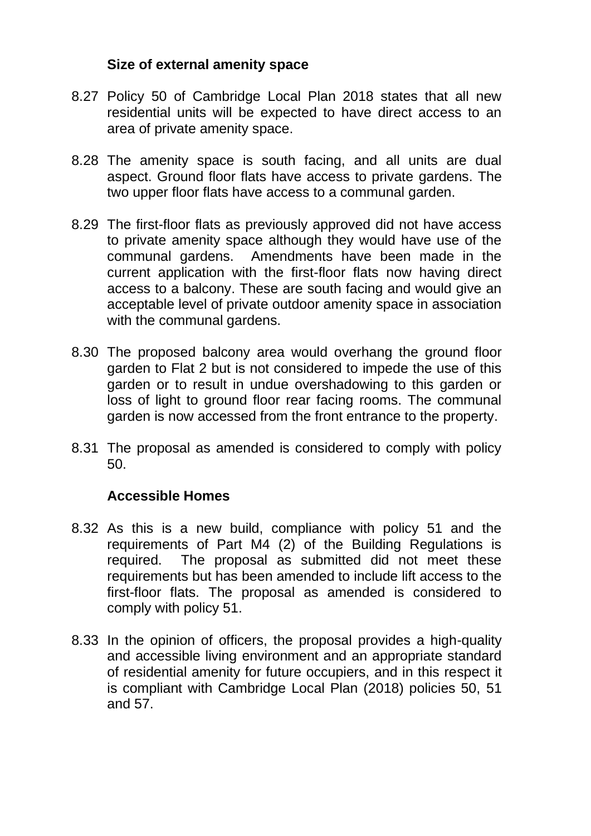### **Size of external amenity space**

- 8.27 Policy 50 of Cambridge Local Plan 2018 states that all new residential units will be expected to have direct access to an area of private amenity space.
- 8.28 The amenity space is south facing, and all units are dual aspect. Ground floor flats have access to private gardens. The two upper floor flats have access to a communal garden.
- 8.29 The first-floor flats as previously approved did not have access to private amenity space although they would have use of the communal gardens. Amendments have been made in the current application with the first-floor flats now having direct access to a balcony. These are south facing and would give an acceptable level of private outdoor amenity space in association with the communal gardens.
- 8.30 The proposed balcony area would overhang the ground floor garden to Flat 2 but is not considered to impede the use of this garden or to result in undue overshadowing to this garden or loss of light to ground floor rear facing rooms. The communal garden is now accessed from the front entrance to the property.
- 8.31 The proposal as amended is considered to comply with policy 50.

## **Accessible Homes**

- 8.32 As this is a new build, compliance with policy 51 and the requirements of Part M4 (2) of the Building Regulations is required. The proposal as submitted did not meet these requirements but has been amended to include lift access to the first-floor flats. The proposal as amended is considered to comply with policy 51.
- 8.33 In the opinion of officers, the proposal provides a high-quality and accessible living environment and an appropriate standard of residential amenity for future occupiers, and in this respect it is compliant with Cambridge Local Plan (2018) policies 50, 51 and 57.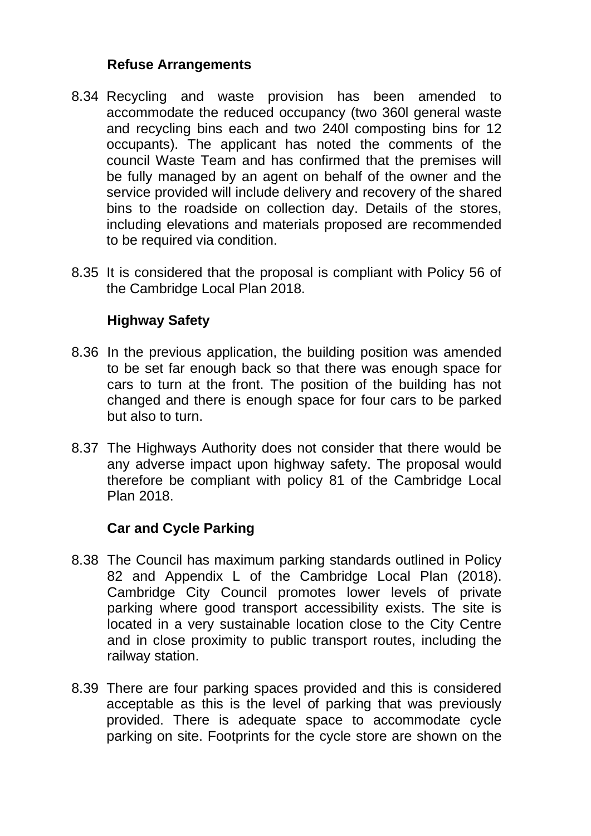## **Refuse Arrangements**

- 8.34 Recycling and waste provision has been amended to accommodate the reduced occupancy (two 360l general waste and recycling bins each and two 240l composting bins for 12 occupants). The applicant has noted the comments of the council Waste Team and has confirmed that the premises will be fully managed by an agent on behalf of the owner and the service provided will include delivery and recovery of the shared bins to the roadside on collection day. Details of the stores, including elevations and materials proposed are recommended to be required via condition.
- 8.35 It is considered that the proposal is compliant with Policy 56 of the Cambridge Local Plan 2018.

## **Highway Safety**

- 8.36 In the previous application, the building position was amended to be set far enough back so that there was enough space for cars to turn at the front. The position of the building has not changed and there is enough space for four cars to be parked but also to turn.
- 8.37 The Highways Authority does not consider that there would be any adverse impact upon highway safety. The proposal would therefore be compliant with policy 81 of the Cambridge Local Plan 2018.

## **Car and Cycle Parking**

- 8.38 The Council has maximum parking standards outlined in Policy 82 and Appendix L of the Cambridge Local Plan (2018). Cambridge City Council promotes lower levels of private parking where good transport accessibility exists. The site is located in a very sustainable location close to the City Centre and in close proximity to public transport routes, including the railway station.
- 8.39 There are four parking spaces provided and this is considered acceptable as this is the level of parking that was previously provided. There is adequate space to accommodate cycle parking on site. Footprints for the cycle store are shown on the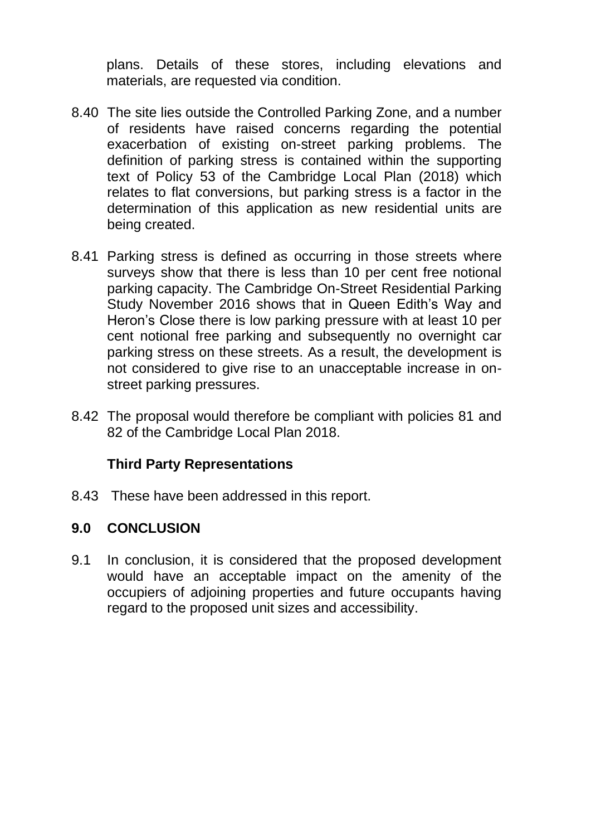plans. Details of these stores, including elevations and materials, are requested via condition.

- 8.40 The site lies outside the Controlled Parking Zone, and a number of residents have raised concerns regarding the potential exacerbation of existing on-street parking problems. The definition of parking stress is contained within the supporting text of Policy 53 of the Cambridge Local Plan (2018) which relates to flat conversions, but parking stress is a factor in the determination of this application as new residential units are being created.
- 8.41 Parking stress is defined as occurring in those streets where surveys show that there is less than 10 per cent free notional parking capacity. The Cambridge On-Street Residential Parking Study November 2016 shows that in Queen Edith's Way and Heron's Close there is low parking pressure with at least 10 per cent notional free parking and subsequently no overnight car parking stress on these streets. As a result, the development is not considered to give rise to an unacceptable increase in onstreet parking pressures.
- 8.42 The proposal would therefore be compliant with policies 81 and 82 of the Cambridge Local Plan 2018.

## **Third Party Representations**

8.43 These have been addressed in this report.

## **9.0 CONCLUSION**

9.1 In conclusion, it is considered that the proposed development would have an acceptable impact on the amenity of the occupiers of adjoining properties and future occupants having regard to the proposed unit sizes and accessibility.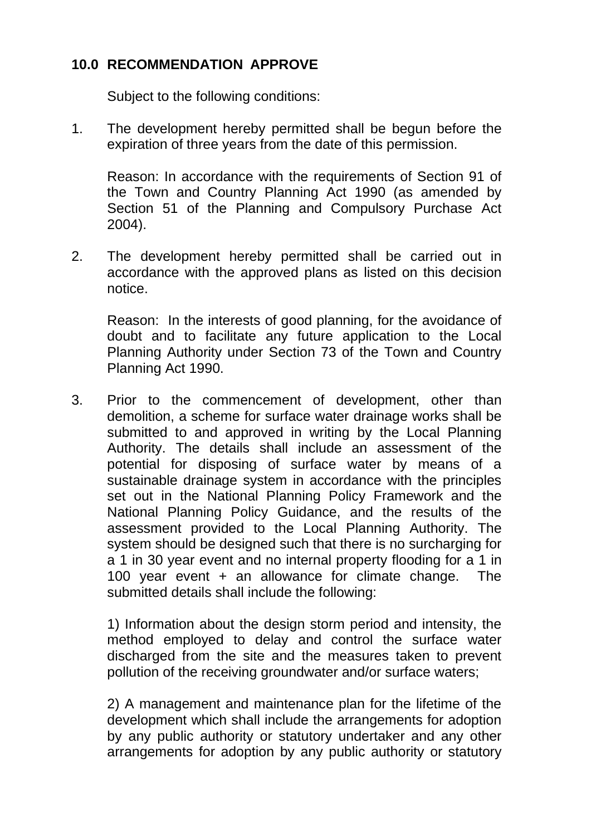## **10.0 RECOMMENDATION APPROVE**

Subject to the following conditions:

1. The development hereby permitted shall be begun before the expiration of three years from the date of this permission.

Reason: In accordance with the requirements of Section 91 of the Town and Country Planning Act 1990 (as amended by Section 51 of the Planning and Compulsory Purchase Act 2004).

2. The development hereby permitted shall be carried out in accordance with the approved plans as listed on this decision notice.

Reason: In the interests of good planning, for the avoidance of doubt and to facilitate any future application to the Local Planning Authority under Section 73 of the Town and Country Planning Act 1990.

3. Prior to the commencement of development, other than demolition, a scheme for surface water drainage works shall be submitted to and approved in writing by the Local Planning Authority. The details shall include an assessment of the potential for disposing of surface water by means of a sustainable drainage system in accordance with the principles set out in the National Planning Policy Framework and the National Planning Policy Guidance, and the results of the assessment provided to the Local Planning Authority. The system should be designed such that there is no surcharging for a 1 in 30 year event and no internal property flooding for a 1 in 100 year event + an allowance for climate change. The submitted details shall include the following:

1) Information about the design storm period and intensity, the method employed to delay and control the surface water discharged from the site and the measures taken to prevent pollution of the receiving groundwater and/or surface waters;

2) A management and maintenance plan for the lifetime of the development which shall include the arrangements for adoption by any public authority or statutory undertaker and any other arrangements for adoption by any public authority or statutory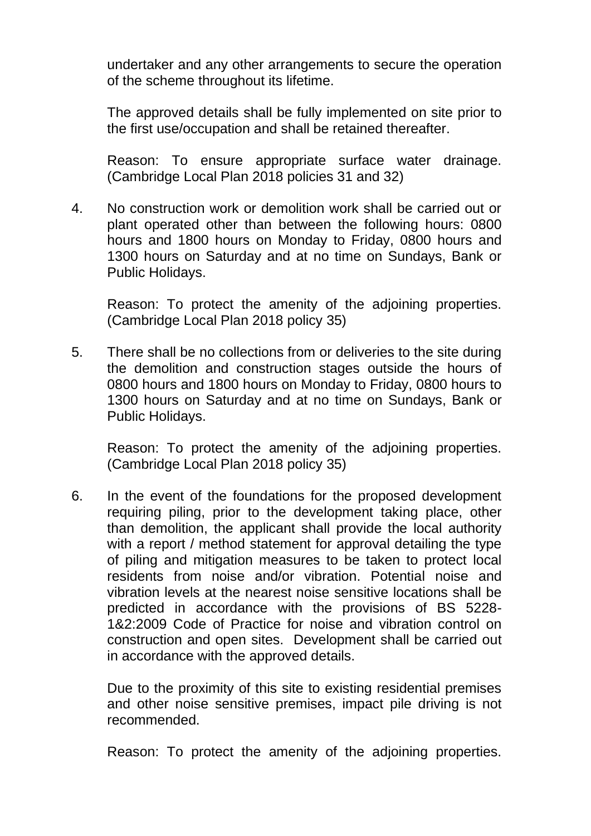undertaker and any other arrangements to secure the operation of the scheme throughout its lifetime.

The approved details shall be fully implemented on site prior to the first use/occupation and shall be retained thereafter.

Reason: To ensure appropriate surface water drainage. (Cambridge Local Plan 2018 policies 31 and 32)

4. No construction work or demolition work shall be carried out or plant operated other than between the following hours: 0800 hours and 1800 hours on Monday to Friday, 0800 hours and 1300 hours on Saturday and at no time on Sundays, Bank or Public Holidays.

Reason: To protect the amenity of the adjoining properties. (Cambridge Local Plan 2018 policy 35)

5. There shall be no collections from or deliveries to the site during the demolition and construction stages outside the hours of 0800 hours and 1800 hours on Monday to Friday, 0800 hours to 1300 hours on Saturday and at no time on Sundays, Bank or Public Holidays.

Reason: To protect the amenity of the adjoining properties. (Cambridge Local Plan 2018 policy 35)

6. In the event of the foundations for the proposed development requiring piling, prior to the development taking place, other than demolition, the applicant shall provide the local authority with a report / method statement for approval detailing the type of piling and mitigation measures to be taken to protect local residents from noise and/or vibration. Potential noise and vibration levels at the nearest noise sensitive locations shall be predicted in accordance with the provisions of BS 5228- 1&2:2009 Code of Practice for noise and vibration control on construction and open sites. Development shall be carried out in accordance with the approved details.

Due to the proximity of this site to existing residential premises and other noise sensitive premises, impact pile driving is not recommended.

Reason: To protect the amenity of the adjoining properties.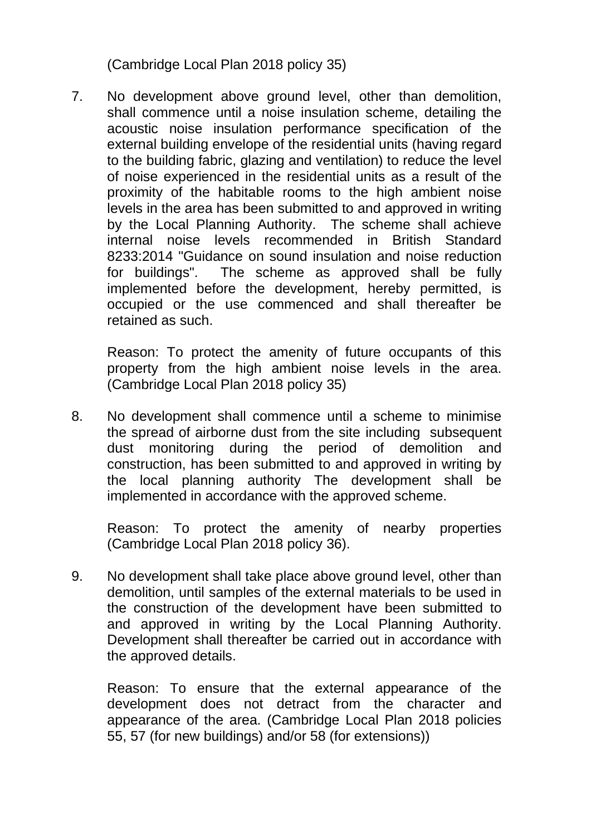(Cambridge Local Plan 2018 policy 35)

7. No development above ground level, other than demolition, shall commence until a noise insulation scheme, detailing the acoustic noise insulation performance specification of the external building envelope of the residential units (having regard to the building fabric, glazing and ventilation) to reduce the level of noise experienced in the residential units as a result of the proximity of the habitable rooms to the high ambient noise levels in the area has been submitted to and approved in writing by the Local Planning Authority. The scheme shall achieve internal noise levels recommended in British Standard 8233:2014 "Guidance on sound insulation and noise reduction for buildings". The scheme as approved shall be fully implemented before the development, hereby permitted, is occupied or the use commenced and shall thereafter be retained as such.

Reason: To protect the amenity of future occupants of this property from the high ambient noise levels in the area. (Cambridge Local Plan 2018 policy 35)

8. No development shall commence until a scheme to minimise the spread of airborne dust from the site including subsequent dust monitoring during the period of demolition and construction, has been submitted to and approved in writing by the local planning authority The development shall be implemented in accordance with the approved scheme.

Reason: To protect the amenity of nearby properties (Cambridge Local Plan 2018 policy 36).

9. No development shall take place above ground level, other than demolition, until samples of the external materials to be used in the construction of the development have been submitted to and approved in writing by the Local Planning Authority. Development shall thereafter be carried out in accordance with the approved details.

Reason: To ensure that the external appearance of the development does not detract from the character and appearance of the area. (Cambridge Local Plan 2018 policies 55, 57 (for new buildings) and/or 58 (for extensions))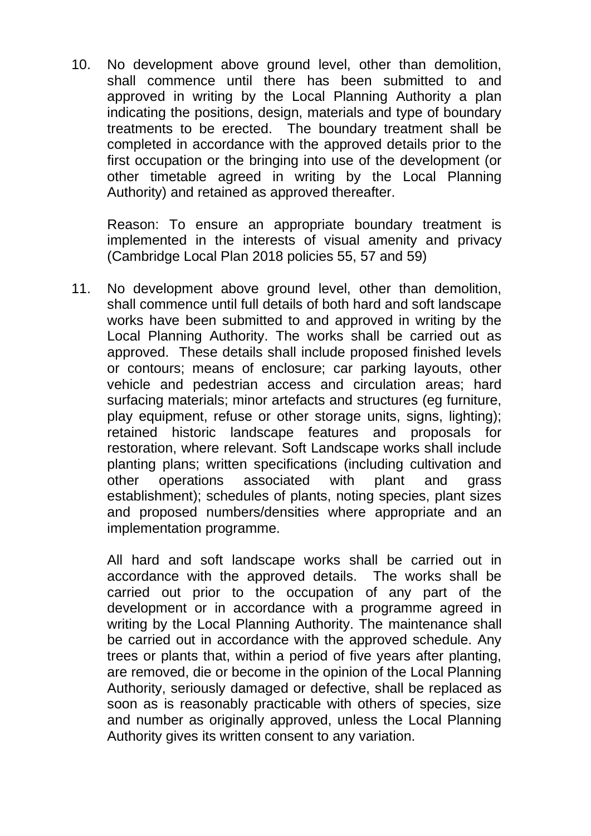10. No development above ground level, other than demolition, shall commence until there has been submitted to and approved in writing by the Local Planning Authority a plan indicating the positions, design, materials and type of boundary treatments to be erected. The boundary treatment shall be completed in accordance with the approved details prior to the first occupation or the bringing into use of the development (or other timetable agreed in writing by the Local Planning Authority) and retained as approved thereafter.

Reason: To ensure an appropriate boundary treatment is implemented in the interests of visual amenity and privacy (Cambridge Local Plan 2018 policies 55, 57 and 59)

11. No development above ground level, other than demolition, shall commence until full details of both hard and soft landscape works have been submitted to and approved in writing by the Local Planning Authority. The works shall be carried out as approved. These details shall include proposed finished levels or contours; means of enclosure; car parking layouts, other vehicle and pedestrian access and circulation areas; hard surfacing materials; minor artefacts and structures (eg furniture, play equipment, refuse or other storage units, signs, lighting); retained historic landscape features and proposals for restoration, where relevant. Soft Landscape works shall include planting plans; written specifications (including cultivation and other operations associated with plant and grass establishment); schedules of plants, noting species, plant sizes and proposed numbers/densities where appropriate and an implementation programme.

All hard and soft landscape works shall be carried out in accordance with the approved details. The works shall be carried out prior to the occupation of any part of the development or in accordance with a programme agreed in writing by the Local Planning Authority. The maintenance shall be carried out in accordance with the approved schedule. Any trees or plants that, within a period of five years after planting, are removed, die or become in the opinion of the Local Planning Authority, seriously damaged or defective, shall be replaced as soon as is reasonably practicable with others of species, size and number as originally approved, unless the Local Planning Authority gives its written consent to any variation.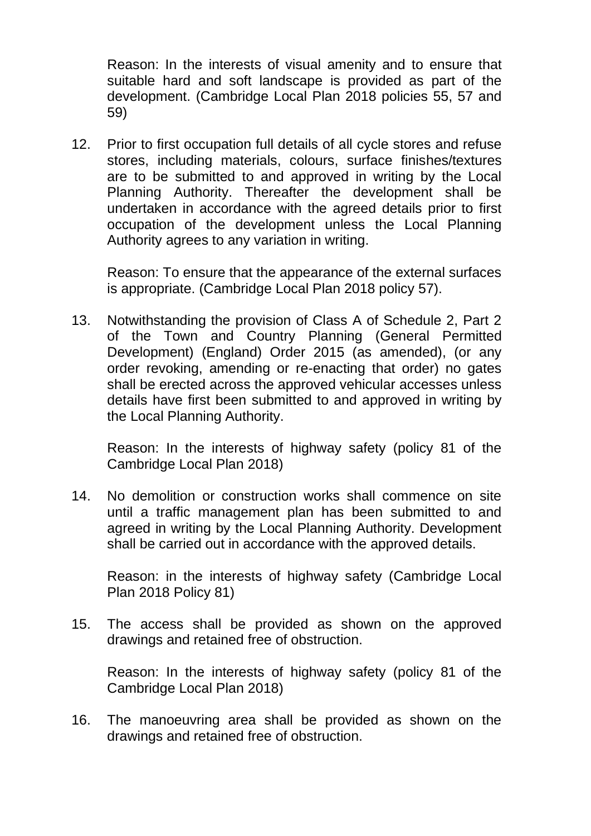Reason: In the interests of visual amenity and to ensure that suitable hard and soft landscape is provided as part of the development. (Cambridge Local Plan 2018 policies 55, 57 and 59)

12. Prior to first occupation full details of all cycle stores and refuse stores, including materials, colours, surface finishes/textures are to be submitted to and approved in writing by the Local Planning Authority. Thereafter the development shall be undertaken in accordance with the agreed details prior to first occupation of the development unless the Local Planning Authority agrees to any variation in writing.

Reason: To ensure that the appearance of the external surfaces is appropriate. (Cambridge Local Plan 2018 policy 57).

13. Notwithstanding the provision of Class A of Schedule 2, Part 2 of the Town and Country Planning (General Permitted Development) (England) Order 2015 (as amended), (or any order revoking, amending or re-enacting that order) no gates shall be erected across the approved vehicular accesses unless details have first been submitted to and approved in writing by the Local Planning Authority.

Reason: In the interests of highway safety (policy 81 of the Cambridge Local Plan 2018)

14. No demolition or construction works shall commence on site until a traffic management plan has been submitted to and agreed in writing by the Local Planning Authority. Development shall be carried out in accordance with the approved details.

Reason: in the interests of highway safety (Cambridge Local Plan 2018 Policy 81)

15. The access shall be provided as shown on the approved drawings and retained free of obstruction.

Reason: In the interests of highway safety (policy 81 of the Cambridge Local Plan 2018)

16. The manoeuvring area shall be provided as shown on the drawings and retained free of obstruction.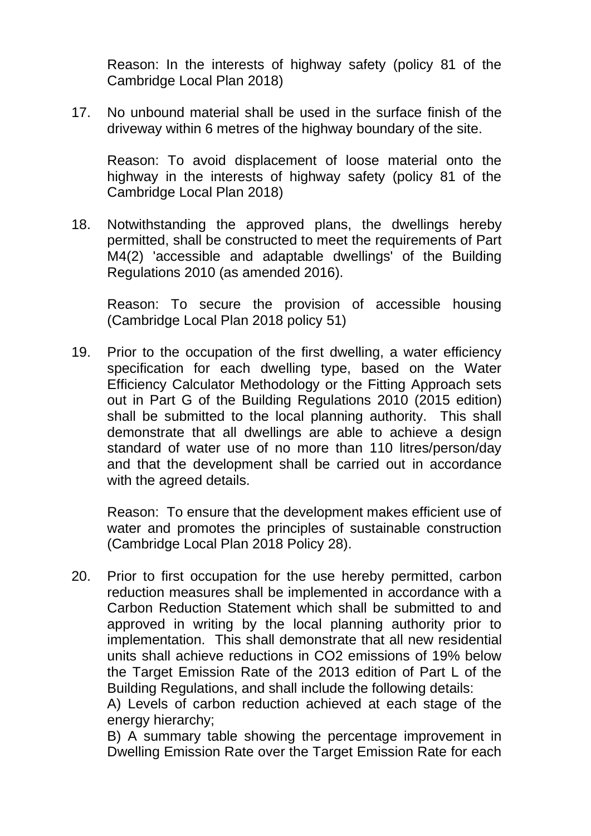Reason: In the interests of highway safety (policy 81 of the Cambridge Local Plan 2018)

17. No unbound material shall be used in the surface finish of the driveway within 6 metres of the highway boundary of the site.

Reason: To avoid displacement of loose material onto the highway in the interests of highway safety (policy 81 of the Cambridge Local Plan 2018)

18. Notwithstanding the approved plans, the dwellings hereby permitted, shall be constructed to meet the requirements of Part M4(2) 'accessible and adaptable dwellings' of the Building Regulations 2010 (as amended 2016).

Reason: To secure the provision of accessible housing (Cambridge Local Plan 2018 policy 51)

19. Prior to the occupation of the first dwelling, a water efficiency specification for each dwelling type, based on the Water Efficiency Calculator Methodology or the Fitting Approach sets out in Part G of the Building Regulations 2010 (2015 edition) shall be submitted to the local planning authority. This shall demonstrate that all dwellings are able to achieve a design standard of water use of no more than 110 litres/person/day and that the development shall be carried out in accordance with the agreed details.

Reason: To ensure that the development makes efficient use of water and promotes the principles of sustainable construction (Cambridge Local Plan 2018 Policy 28).

20. Prior to first occupation for the use hereby permitted, carbon reduction measures shall be implemented in accordance with a Carbon Reduction Statement which shall be submitted to and approved in writing by the local planning authority prior to implementation. This shall demonstrate that all new residential units shall achieve reductions in CO2 emissions of 19% below the Target Emission Rate of the 2013 edition of Part L of the Building Regulations, and shall include the following details:

A) Levels of carbon reduction achieved at each stage of the energy hierarchy;

B) A summary table showing the percentage improvement in Dwelling Emission Rate over the Target Emission Rate for each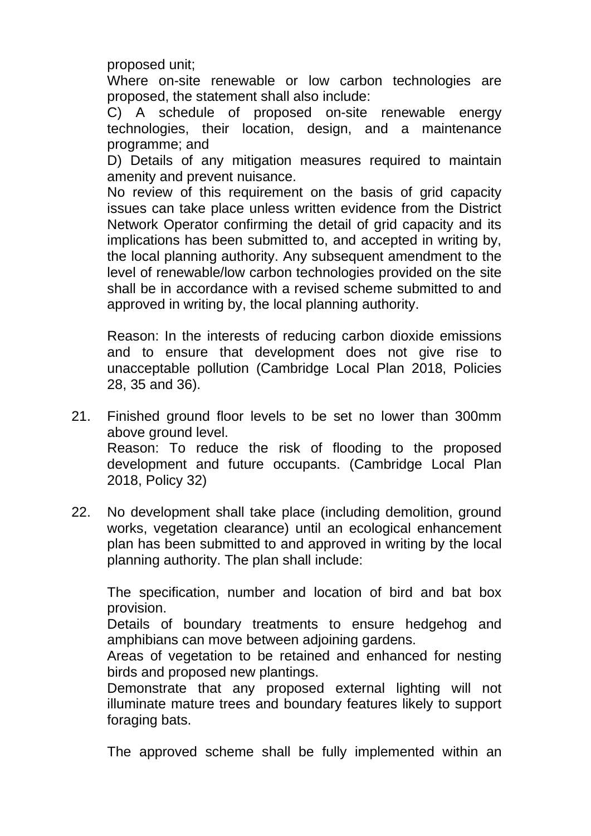proposed unit;

Where on-site renewable or low carbon technologies are proposed, the statement shall also include:

C) A schedule of proposed on-site renewable energy technologies, their location, design, and a maintenance programme; and

D) Details of any mitigation measures required to maintain amenity and prevent nuisance.

No review of this requirement on the basis of grid capacity issues can take place unless written evidence from the District Network Operator confirming the detail of grid capacity and its implications has been submitted to, and accepted in writing by, the local planning authority. Any subsequent amendment to the level of renewable/low carbon technologies provided on the site shall be in accordance with a revised scheme submitted to and approved in writing by, the local planning authority.

Reason: In the interests of reducing carbon dioxide emissions and to ensure that development does not give rise to unacceptable pollution (Cambridge Local Plan 2018, Policies 28, 35 and 36).

- 21. Finished ground floor levels to be set no lower than 300mm above ground level. Reason: To reduce the risk of flooding to the proposed development and future occupants. (Cambridge Local Plan 2018, Policy 32)
- 22. No development shall take place (including demolition, ground works, vegetation clearance) until an ecological enhancement plan has been submitted to and approved in writing by the local planning authority. The plan shall include:

The specification, number and location of bird and bat box provision.

Details of boundary treatments to ensure hedgehog and amphibians can move between adjoining gardens.

Areas of vegetation to be retained and enhanced for nesting birds and proposed new plantings.

Demonstrate that any proposed external lighting will not illuminate mature trees and boundary features likely to support foraging bats.

The approved scheme shall be fully implemented within an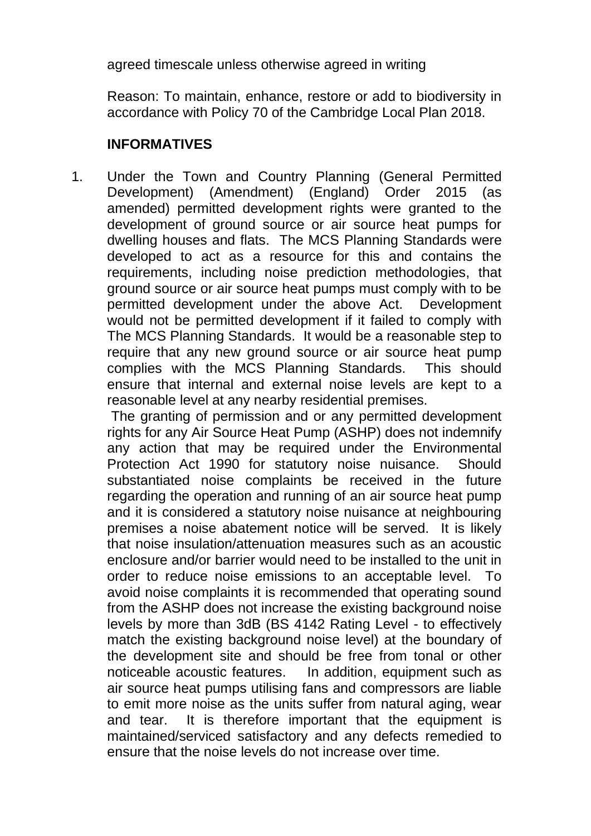agreed timescale unless otherwise agreed in writing

Reason: To maintain, enhance, restore or add to biodiversity in accordance with Policy 70 of the Cambridge Local Plan 2018.

## **INFORMATIVES**

1. Under the Town and Country Planning (General Permitted Development) (Amendment) (England) Order 2015 (as amended) permitted development rights were granted to the development of ground source or air source heat pumps for dwelling houses and flats. The MCS Planning Standards were developed to act as a resource for this and contains the requirements, including noise prediction methodologies, that ground source or air source heat pumps must comply with to be permitted development under the above Act. Development would not be permitted development if it failed to comply with The MCS Planning Standards. It would be a reasonable step to require that any new ground source or air source heat pump complies with the MCS Planning Standards. This should ensure that internal and external noise levels are kept to a reasonable level at any nearby residential premises.

The granting of permission and or any permitted development rights for any Air Source Heat Pump (ASHP) does not indemnify any action that may be required under the Environmental Protection Act 1990 for statutory noise nuisance. Should substantiated noise complaints be received in the future regarding the operation and running of an air source heat pump and it is considered a statutory noise nuisance at neighbouring premises a noise abatement notice will be served. It is likely that noise insulation/attenuation measures such as an acoustic enclosure and/or barrier would need to be installed to the unit in order to reduce noise emissions to an acceptable level. To avoid noise complaints it is recommended that operating sound from the ASHP does not increase the existing background noise levels by more than 3dB (BS 4142 Rating Level - to effectively match the existing background noise level) at the boundary of the development site and should be free from tonal or other noticeable acoustic features. In addition, equipment such as air source heat pumps utilising fans and compressors are liable to emit more noise as the units suffer from natural aging, wear and tear. It is therefore important that the equipment is maintained/serviced satisfactory and any defects remedied to ensure that the noise levels do not increase over time.